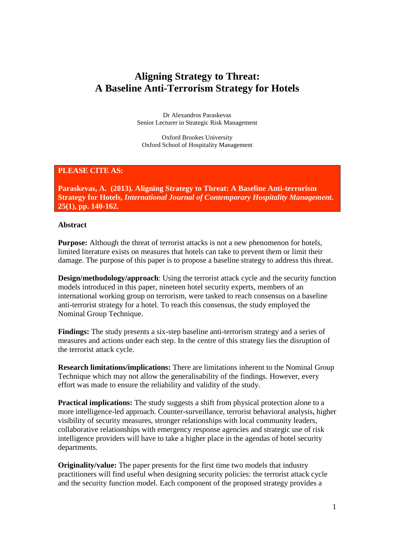# **Aligning Strategy to Threat: A Baseline Anti-Terrorism Strategy for Hotels**

Dr Alexandros Paraskevas Senior Lecturer in Strategic Risk Management

Oxford Brookes University Oxford School of Hospitality Management

# **PLEASE CITE AS:**

**Paraskevas, A. (2013). Aligning Strategy to Threat: A Baseline Anti-terrorism Strategy for Hotels,** *International Journal of Contemporary Hospitality Management***. 25(1), pp. 140-162.** 

#### **Abstract**

**Purpose:** Although the threat of terrorist attacks is not a new phenomenon for hotels, limited literature exists on measures that hotels can take to prevent them or limit their damage. The purpose of this paper is to propose a baseline strategy to address this threat.

**Design/methodology/approach:** Using the terrorist attack cycle and the security function models introduced in this paper, nineteen hotel security experts, members of an international working group on terrorism, were tasked to reach consensus on a baseline anti-terrorist strategy for a hotel. To reach this consensus, the study employed the Nominal Group Technique.

**Findings:** The study presents a six-step baseline anti-terrorism strategy and a series of measures and actions under each step. In the centre of this strategy lies the disruption of the terrorist attack cycle.

**Research limitations/implications:** There are limitations inherent to the Nominal Group Technique which may not allow the generalisability of the findings. However, every effort was made to ensure the reliability and validity of the study.

**Practical implications:** The study suggests a shift from physical protection alone to a more intelligence-led approach. Counter-surveillance, terrorist behavioral analysis, higher visibility of security measures, stronger relationships with local community leaders, collaborative relationships with emergency response agencies and strategic use of risk intelligence providers will have to take a higher place in the agendas of hotel security departments.

**Originality/value:** The paper presents for the first time two models that industry practitioners will find useful when designing security policies: the terrorist attack cycle and the security function model. Each component of the proposed strategy provides a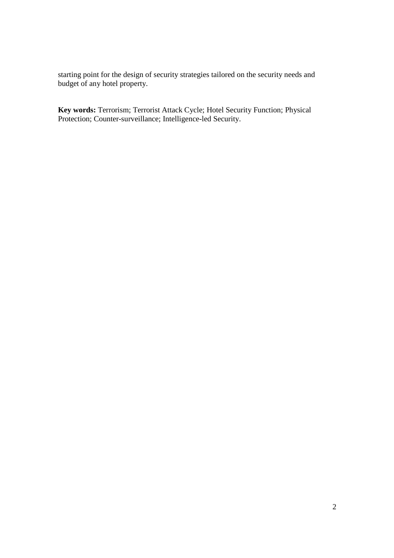starting point for the design of security strategies tailored on the security needs and budget of any hotel property.

**Key words:** Terrorism; Terrorist Attack Cycle; Hotel Security Function; Physical Protection; Counter-surveillance; Intelligence-led Security.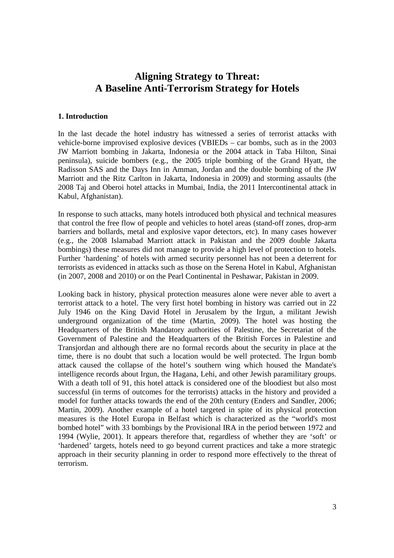# **Aligning Strategy to Threat: A Baseline Anti-Terrorism Strategy for Hotels**

#### **1. Introduction**

In the last decade the hotel industry has witnessed a series of terrorist attacks with vehicle-borne improvised explosive devices (VBIEDs – car bombs, such as in the 2003 JW Marriott bombing in Jakarta, Indonesia or the 2004 attack in Taba Hilton, Sinai peninsula), suicide bombers (e.g., the 2005 triple bombing of the Grand Hyatt, the Radisson SAS and the Days Inn in Amman, Jordan and the double bombing of the JW Marriott and the Ritz Carlton in Jakarta, Indonesia in 2009) and storming assaults (the 2008 Taj and Oberoi hotel attacks in Mumbai, India, the 2011 Intercontinental attack in Kabul, Afghanistan).

In response to such attacks, many hotels introduced both physical and technical measures that control the free flow of people and vehicles to hotel areas (stand-off zones, drop-arm barriers and bollards, metal and explosive vapor detectors, etc). In many cases however (e.g., the 2008 Islamabad Marriott attack in Pakistan and the 2009 double Jakarta bombings) these measures did not manage to provide a high level of protection to hotels. Further 'hardening' of hotels with armed security personnel has not been a deterrent for terrorists as evidenced in attacks such as those on the Serena Hotel in Kabul, Afghanistan (in 2007, 2008 and 2010) or on the Pearl Continental in Peshawar, Pakistan in 2009.

Looking back in history, physical protection measures alone were never able to avert a terrorist attack to a hotel. The very first hotel bombing in history was carried out in 22 July 1946 on the King David Hotel in Jerusalem by the Irgun, a militant Jewish underground organization of the time (Martin, 2009). The hotel was hosting the Headquarters of the British Mandatory authorities of Palestine, the Secretariat of the Government of Palestine and the Headquarters of the British Forces in Palestine and Transjordan and although there are no formal records about the security in place at the time, there is no doubt that such a location would be well protected. The Irgun bomb attack caused the collapse of the hotel's southern wing which housed the Mandate's intelligence records about Irgun, the Hagana, Lehi, and other Jewish paramilitary groups. With a death toll of 91, this hotel attack is considered one of the bloodiest but also most successful (in terms of outcomes for the terrorists) attacks in the history and provided a model for further attacks towards the end of the 20th century (Enders and Sandler, 2006; Martin, 2009). Another example of a hotel targeted in spite of its physical protection measures is the Hotel Europa in Belfast which is characterized as the "world's most bombed hotel" with 33 bombings by the Provisional IRA in the period between 1972 and 1994 (Wylie, 2001). It appears therefore that, regardless of whether they are 'soft' or 'hardened' targets, hotels need to go beyond current practices and take a more strategic approach in their security planning in order to respond more effectively to the threat of terrorism.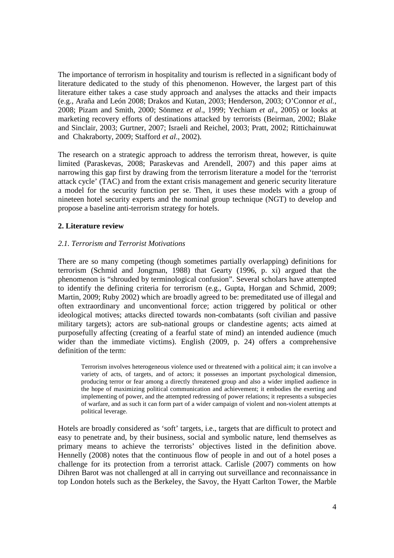The importance of terrorism in hospitality and tourism is reflected in a significant body of literature dedicated to the study of this phenomenon. However, the largest part of this literature either takes a case study approach and analyses the attacks and their impacts (e.g., Araña and León 2008; Drakos and Kutan, 2003; Henderson, 2003; O'Connor *et al.*, 2008; Pizam and Smith, 2000; Sönmez *et al*., 1999; Yechiam *et al*., 2005) or looks at marketing recovery efforts of destinations attacked by terrorists (Beirman, 2002; Blake and Sinclair, 2003; Gurtner, 2007; Israeli and Reichel, 2003; Pratt, 2002; Rittichainuwat and Chakraborty, 2009; Stafford *et al*., 2002).

The research on a strategic approach to address the terrorism threat, however, is quite limited (Paraskevas, 2008; Paraskevas and Arendell, 2007) and this paper aims at narrowing this gap first by drawing from the terrorism literature a model for the 'terrorist attack cycle' (TAC) and from the extant crisis management and generic security literature a model for the security function per se. Then, it uses these models with a group of nineteen hotel security experts and the nominal group technique (NGT) to develop and propose a baseline anti-terrorism strategy for hotels.

# **2. Literature review**

## *2.1. Terrorism and Terrorist Motivations*

There are so many competing (though sometimes partially overlapping) definitions for terrorism (Schmid and Jongman, 1988) that Gearty (1996, p. xi) argued that the phenomenon is "shrouded by terminological confusion". Several scholars have attempted to identify the defining criteria for terrorism (e.g., Gupta, Horgan and Schmid, 2009; Martin, 2009; Ruby 2002) which are broadly agreed to be: premeditated use of illegal and often extraordinary and unconventional force; action triggered by political or other ideological motives; attacks directed towards non-combatants (soft civilian and passive military targets); actors are sub-national groups or clandestine agents; acts aimed at purposefully affecting (creating of a fearful state of mind) an intended audience (much wider than the immediate victims). English (2009, p. 24) offers a comprehensive definition of the term:

Terrorism involves heterogeneous violence used or threatened with a political aim; it can involve a variety of acts, of targets, and of actors; it possesses an important psychological dimension, producing terror or fear among a directly threatened group and also a wider implied audience in the hope of maximizing political communication and achievement; it embodies the exerting and implementing of power, and the attempted redressing of power relations; it represents a subspecies of warfare, and as such it can form part of a wider campaign of violent and non-violent attempts at political leverage.

Hotels are broadly considered as 'soft' targets, i.e., targets that are difficult to protect and easy to penetrate and, by their business, social and symbolic nature, lend themselves as primary means to achieve the terrorists' objectives listed in the definition above. Hennelly (2008) notes that the continuous flow of people in and out of a hotel poses a challenge for its protection from a terrorist attack. Carlisle (2007) comments on how Dihren Barot was not challenged at all in carrying out surveillance and reconnaissance in top London hotels such as the Berkeley, the Savoy, the Hyatt Carlton Tower, the Marble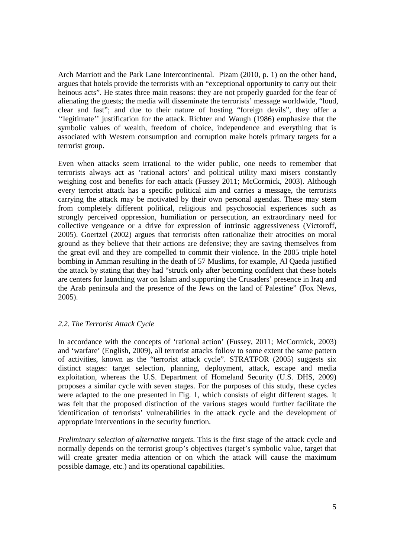Arch Marriott and the Park Lane Intercontinental. Pizam (2010, p. 1) on the other hand, argues that hotels provide the terrorists with an "exceptional opportunity to carry out their heinous acts". He states three main reasons: they are not properly guarded for the fear of alienating the guests; the media will disseminate the terrorists' message worldwide, "loud, clear and fast"; and due to their nature of hosting "foreign devils", they offer a ''legitimate'' justification for the attack. Richter and Waugh (1986) emphasize that the symbolic values of wealth, freedom of choice, independence and everything that is associated with Western consumption and corruption make hotels primary targets for a terrorist group.

Even when attacks seem irrational to the wider public, one needs to remember that terrorists always act as 'rational actors' and political utility maxi misers constantly weighing cost and benefits for each attack (Fussey 2011; McCormick, 2003). Although every terrorist attack has a specific political aim and carries a message, the terrorists carrying the attack may be motivated by their own personal agendas. These may stem from completely different political, religious and psychosocial experiences such as strongly perceived oppression, humiliation or persecution, an extraordinary need for collective vengeance or a drive for expression of intrinsic aggressiveness (Victoroff, 2005). Goertzel (2002) argues that terrorists often rationalize their atrocities on moral ground as they believe that their actions are defensive; they are saving themselves from the great evil and they are compelled to commit their violence. In the 2005 triple hotel bombing in Amman resulting in the death of 57 Muslims, for example, Al Qaeda justified the attack by stating that they had "struck only after becoming confident that these hotels are centers for launching war on Islam and supporting the Crusaders' presence in Iraq and the Arab peninsula and the presence of the Jews on the land of Palestine" (Fox News, 2005).

## *2.2. The Terrorist Attack Cycle*

In accordance with the concepts of 'rational action' (Fussey, 2011; McCormick, 2003) and 'warfare' (English, 2009), all terrorist attacks follow to some extent the same pattern of activities, known as the "terrorist attack cycle". STRATFOR (2005) suggests six distinct stages: target selection, planning, deployment, attack, escape and media exploitation, whereas the U.S. Department of Homeland Security (U.S. DHS, 2009) proposes a similar cycle with seven stages. For the purposes of this study, these cycles were adapted to the one presented in Fig. 1, which consists of eight different stages. It was felt that the proposed distinction of the various stages would further facilitate the identification of terrorists' vulnerabilities in the attack cycle and the development of appropriate interventions in the security function.

*Preliminary selection of alternative targets*. This is the first stage of the attack cycle and normally depends on the terrorist group's objectives (target's symbolic value, target that will create greater media attention or on which the attack will cause the maximum possible damage, etc.) and its operational capabilities.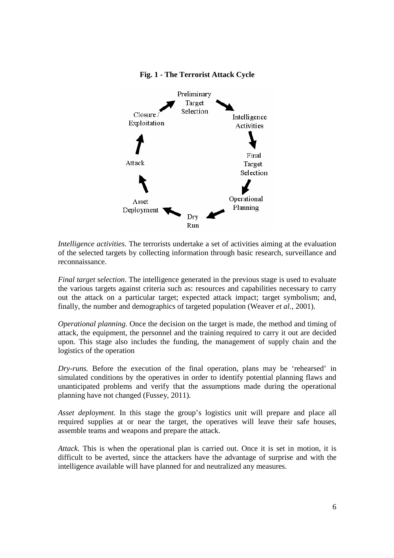

# **Fig. 1 - The Terrorist Attack Cycle**

*Intelligence activities*. The terrorists undertake a set of activities aiming at the evaluation of the selected targets by collecting information through basic research, surveillance and reconnaissance.

*Final target selection*. The intelligence generated in the previous stage is used to evaluate the various targets against criteria such as: resources and capabilities necessary to carry out the attack on a particular target; expected attack impact; target symbolism; and, finally, the number and demographics of targeted population (Weaver *et al*., 2001).

*Operational planning.* Once the decision on the target is made, the method and timing of attack, the equipment, the personnel and the training required to carry it out are decided upon. This stage also includes the funding, the management of supply chain and the logistics of the operation

*Dry-runs.* Before the execution of the final operation, plans may be 'rehearsed' in simulated conditions by the operatives in order to identify potential planning flaws and unanticipated problems and verify that the assumptions made during the operational planning have not changed (Fussey, 2011).

*Asset deployment.* In this stage the group's logistics unit will prepare and place all required supplies at or near the target, the operatives will leave their safe houses, assemble teams and weapons and prepare the attack.

*Attack.* This is when the operational plan is carried out. Once it is set in motion, it is difficult to be averted, since the attackers have the advantage of surprise and with the intelligence available will have planned for and neutralized any measures.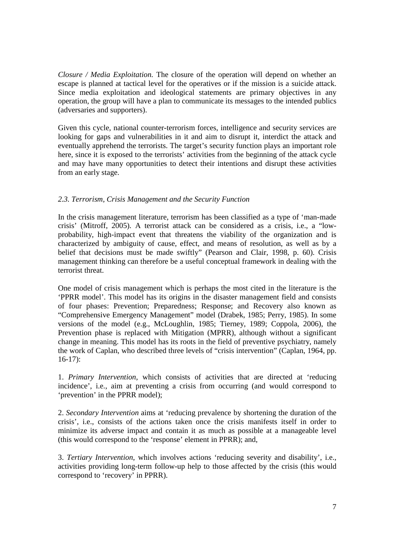*Closure / Media Exploitation.* The closure of the operation will depend on whether an escape is planned at tactical level for the operatives or if the mission is a suicide attack. Since media exploitation and ideological statements are primary objectives in any operation, the group will have a plan to communicate its messages to the intended publics (adversaries and supporters).

Given this cycle, national counter-terrorism forces, intelligence and security services are looking for gaps and vulnerabilities in it and aim to disrupt it, interdict the attack and eventually apprehend the terrorists. The target's security function plays an important role here, since it is exposed to the terrorists' activities from the beginning of the attack cycle and may have many opportunities to detect their intentions and disrupt these activities from an early stage.

# *2.3. Terrorism, Crisis Management and the Security Function*

In the crisis management literature, terrorism has been classified as a type of 'man-made crisis' (Mitroff, 2005). A terrorist attack can be considered as a crisis, i.e., a "lowprobability, high-impact event that threatens the viability of the organization and is characterized by ambiguity of cause, effect, and means of resolution, as well as by a belief that decisions must be made swiftly" (Pearson and Clair, 1998, p. 60). Crisis management thinking can therefore be a useful conceptual framework in dealing with the terrorist threat.

One model of crisis management which is perhaps the most cited in the literature is the 'PPRR model'. This model has its origins in the disaster management field and consists of four phases: Prevention; Preparedness; Response; and Recovery also known as "Comprehensive Emergency Management" model (Drabek, 1985; Perry, 1985). In some versions of the model (e.g., McLoughlin, 1985; Tierney, 1989; Coppola, 2006), the Prevention phase is replaced with Mitigation (MPRR), although without a significant change in meaning. This model has its roots in the field of preventive psychiatry, namely the work of Caplan, who described three levels of "crisis intervention" (Caplan, 1964, pp. 16-17):

1. *Primary Intervention*, which consists of activities that are directed at 'reducing incidence', i.e., aim at preventing a crisis from occurring (and would correspond to 'prevention' in the PPRR model);

2. *Secondary Intervention* aims at 'reducing prevalence by shortening the duration of the crisis', i.e., consists of the actions taken once the crisis manifests itself in order to minimize its adverse impact and contain it as much as possible at a manageable level (this would correspond to the 'response' element in PPRR); and,

3. *Tertiary Intervention*, which involves actions 'reducing severity and disability', i.e., activities providing long-term follow-up help to those affected by the crisis (this would correspond to 'recovery' in PPRR).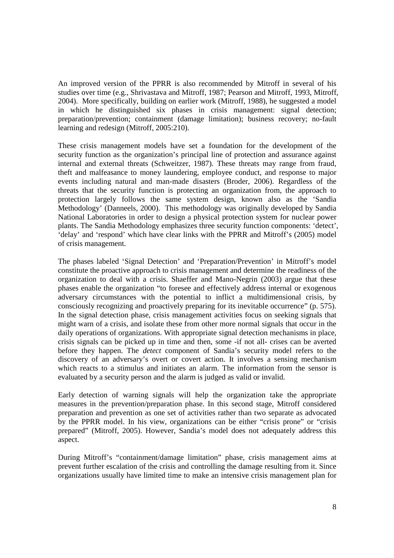An improved version of the PPRR is also recommended by Mitroff in several of his studies over time (e.g., Shrivastava and Mitroff, 1987; Pearson and Mitroff, 1993, Mitroff, 2004). More specifically, building on earlier work (Mitroff, 1988), he suggested a model in which he distinguished six phases in crisis management: signal detection; preparation/prevention; containment (damage limitation); business recovery; no-fault learning and redesign (Mitroff, 2005:210).

These crisis management models have set a foundation for the development of the security function as the organization's principal line of protection and assurance against internal and external threats (Schweitzer, 1987). These threats may range from fraud, theft and malfeasance to money laundering, employee conduct, and response to major events including natural and man-made disasters (Broder, 2006). Regardless of the threats that the security function is protecting an organization from, the approach to protection largely follows the same system design, known also as the 'Sandia Methodology' (Danneels, 2000). This methodology was originally developed by Sandia National Laboratories in order to design a physical protection system for nuclear power plants. The Sandia Methodology emphasizes three security function components: 'detect', 'delay' and 'respond' which have clear links with the PPRR and Mitroff's (2005) model of crisis management.

The phases labeled 'Signal Detection' and 'Preparation/Prevention' in Mitroff's model constitute the proactive approach to crisis management and determine the readiness of the organization to deal with a crisis. Shaeffer and Mano-Negrin (2003) argue that these phases enable the organization "to foresee and effectively address internal or exogenous adversary circumstances with the potential to inflict a multidimensional crisis, by consciously recognizing and proactively preparing for its inevitable occurrence" (p. 575). In the signal detection phase, crisis management activities focus on seeking signals that might warn of a crisis, and isolate these from other more normal signals that occur in the daily operations of organizations. With appropriate signal detection mechanisms in place, crisis signals can be picked up in time and then, some -if not all- crises can be averted before they happen. The *detect* component of Sandia's security model refers to the discovery of an adversary's overt or covert action. It involves a sensing mechanism which reacts to a stimulus and initiates an alarm. The information from the sensor is evaluated by a security person and the alarm is judged as valid or invalid.

Early detection of warning signals will help the organization take the appropriate measures in the prevention/preparation phase. In this second stage, Mitroff considered preparation and prevention as one set of activities rather than two separate as advocated by the PPRR model. In his view, organizations can be either "crisis prone" or "crisis prepared" (Mitroff, 2005). However, Sandia's model does not adequately address this aspect.

During Mitroff's "containment/damage limitation" phase, crisis management aims at prevent further escalation of the crisis and controlling the damage resulting from it. Since organizations usually have limited time to make an intensive crisis management plan for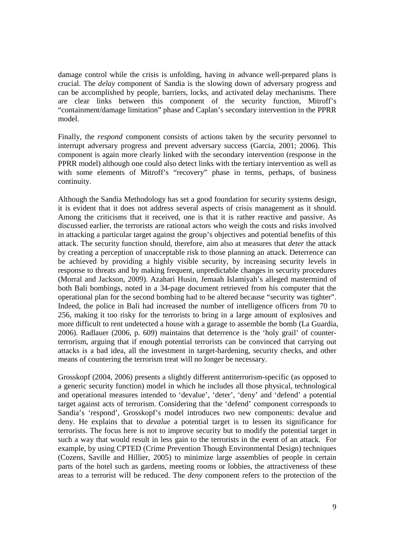damage control while the crisis is unfolding, having in advance well-prepared plans is crucial. The *delay* component of Sandia is the slowing down of adversary progress and can be accomplished by people, barriers, locks, and activated delay mechanisms. There are clear links between this component of the security function, Mitroff's "containment/damage limitation" phase and Caplan's secondary intervention in the PPRR model.

Finally, the *respond* component consists of actions taken by the security personnel to interrupt adversary progress and prevent adversary success (Garcia, 2001; 2006). This component is again more clearly linked with the secondary intervention (response in the PPRR model) although one could also detect links with the tertiary intervention as well as with some elements of Mitroff's "recovery" phase in terms, perhaps, of business continuity.

Although the Sandia Methodology has set a good foundation for security systems design, it is evident that it does not address several aspects of crisis management as it should. Among the criticisms that it received, one is that it is rather reactive and passive. As discussed earlier, the terrorists are rational actors who weigh the costs and risks involved in attacking a particular target against the group's objectives and potential benefits of this attack. The security function should, therefore, aim also at measures that *deter* the attack by creating a perception of unacceptable risk to those planning an attack. Deterrence can be achieved by providing a highly visible security, by increasing security levels in response to threats and by making frequent, unpredictable changes in security procedures (Morral and Jackson, 2009). Azahari Husin, Jemaah Islamiyah's alleged mastermind of both Bali bombings, noted in a 34-page document retrieved from his computer that the operational plan for the second bombing had to be altered because "security was tighter". Indeed, the police in Bali had increased the number of intelligence officers from 70 to 256, making it too risky for the terrorists to bring in a large amount of explosives and more difficult to rent undetected a house with a garage to assemble the bomb (La Guardia, 2006). Radlauer (2006, p. 609) maintains that deterrence is the 'holy grail' of counterterrorism, arguing that if enough potential terrorists can be convinced that carrying out attacks is a bad idea, all the investment in target-hardening, security checks, and other means of countering the terrorism treat will no longer be necessary.

Grosskopf (2004, 2006) presents a slightly different antiterrorism-specific (as opposed to a generic security function) model in which he includes all those physical, technological and operational measures intended to 'devalue', 'deter', 'deny' and 'defend' a potential target against acts of terrorism. Considering that the 'defend' component corresponds to Sandia's 'respond', Grosskopf's model introduces two new components: devalue and deny. He explains that to *devalue* a potential target is to lessen its significance for terrorists. The focus here is not to improve security but to modify the potential target in such a way that would result in less gain to the terrorists in the event of an attack. For example, by using CPTED (Crime Prevention Though Environmental Design) techniques (Cozens, Saville and Hillier, 2005) to minimize large assemblies of people in certain parts of the hotel such as gardens, meeting rooms or lobbies, the attractiveness of these areas to a terrorist will be reduced. The *deny* component refers to the protection of the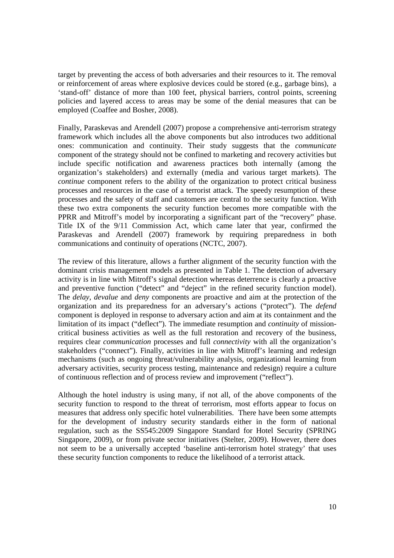target by preventing the access of both adversaries and their resources to it. The removal or reinforcement of areas where explosive devices could be stored (e.g., garbage bins), a 'stand-off' distance of more than 100 feet, physical barriers, control points, screening policies and layered access to areas may be some of the denial measures that can be employed (Coaffee and Bosher, 2008).

Finally, Paraskevas and Arendell (2007) propose a comprehensive anti-terrorism strategy framework which includes all the above components but also introduces two additional ones: communication and continuity. Their study suggests that the *communicate* component of the strategy should not be confined to marketing and recovery activities but include specific notification and awareness practices both internally (among the organization's stakeholders) and externally (media and various target markets). The *continue* component refers to the ability of the organization to protect critical business processes and resources in the case of a terrorist attack. The speedy resumption of these processes and the safety of staff and customers are central to the security function. With these two extra components the security function becomes more compatible with the PPRR and Mitroff's model by incorporating a significant part of the "recovery" phase. Title IX of the 9/11 Commission Act, which came later that year, confirmed the Paraskevas and Arendell (2007) framework by requiring preparedness in both communications and continuity of operations (NCTC, 2007).

The review of this literature, allows a further alignment of the security function with the dominant crisis management models as presented in Table 1. The detection of adversary activity is in line with Mitroff's signal detection whereas deterrence is clearly a proactive and preventive function ("detect" and "deject" in the refined security function model). The *delay*, *devalue* and *deny* components are proactive and aim at the protection of the organization and its preparedness for an adversary's actions ("protect"). The *defend* component is deployed in response to adversary action and aim at its containment and the limitation of its impact ("deflect"). The immediate resumption and *continuity* of missioncritical business activities as well as the full restoration and recovery of the business, requires clear *communication* processes and full *connectivity* with all the organization's stakeholders ("connect"). Finally, activities in line with Mitroff's learning and redesign mechanisms (such as ongoing threat/vulnerability analysis, organizational learning from adversary activities, security process testing, maintenance and redesign) require a culture of continuous reflection and of process review and improvement ("reflect").

Although the hotel industry is using many, if not all, of the above components of the security function to respond to the threat of terrorism, most efforts appear to focus on measures that address only specific hotel vulnerabilities. There have been some attempts for the development of industry security standards either in the form of national regulation, such as the SS545:2009 Singapore Standard for Hotel Security (SPRING Singapore, 2009), or from private sector initiatives (Stelter, 2009). However, there does not seem to be a universally accepted 'baseline anti-terrorism hotel strategy' that uses these security function components to reduce the likelihood of a terrorist attack.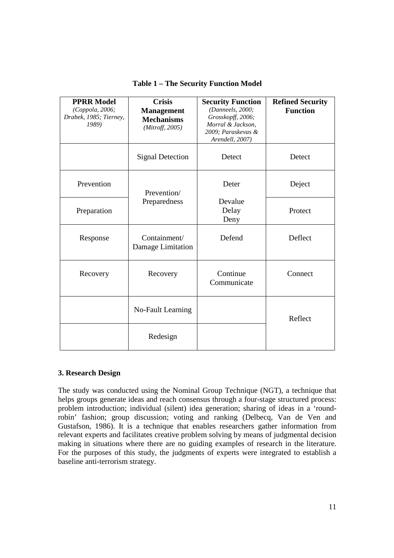| <b>PPRR Model</b><br>(Coppola, 2006;<br>Drabek, 1985; Tierney,<br>1989) | <b>Crisis</b><br><b>Management</b><br><b>Mechanisms</b><br>(Mitroff, 2005) | <b>Security Function</b><br>(Danneels, 2000;<br>Grosskopff, 2006;<br>Morral & Jackson,<br>2009: Paraskevas &<br>Arendell, 2007) | <b>Refined Security</b><br><b>Function</b> |
|-------------------------------------------------------------------------|----------------------------------------------------------------------------|---------------------------------------------------------------------------------------------------------------------------------|--------------------------------------------|
|                                                                         | <b>Signal Detection</b>                                                    | Detect                                                                                                                          | Detect                                     |
| Prevention                                                              | Prevention/                                                                | Deter                                                                                                                           | Deject                                     |
| Preparation                                                             | Preparedness                                                               | Devalue<br>Delay<br>Deny                                                                                                        | Protect                                    |
| Response                                                                | Containment/<br>Damage Limitation                                          | Defend                                                                                                                          | Deflect                                    |
| Recovery                                                                | Recovery                                                                   | Continue<br>Communicate                                                                                                         | Connect                                    |
|                                                                         | No-Fault Learning                                                          |                                                                                                                                 | Reflect                                    |
|                                                                         | Redesign                                                                   |                                                                                                                                 |                                            |

# **Table 1 – The Security Function Model**

## **3. Research Design**

The study was conducted using the Nominal Group Technique (NGT), a technique that helps groups generate ideas and reach consensus through a four-stage structured process: problem introduction; individual (silent) idea generation; sharing of ideas in a 'roundrobin' fashion; group discussion; voting and ranking (Delbecq, Van de Ven and Gustafson, 1986). It is a technique that enables researchers gather information from relevant experts and facilitates creative problem solving by means of judgmental decision making in situations where there are no guiding examples of research in the literature. For the purposes of this study, the judgments of experts were integrated to establish a baseline anti-terrorism strategy.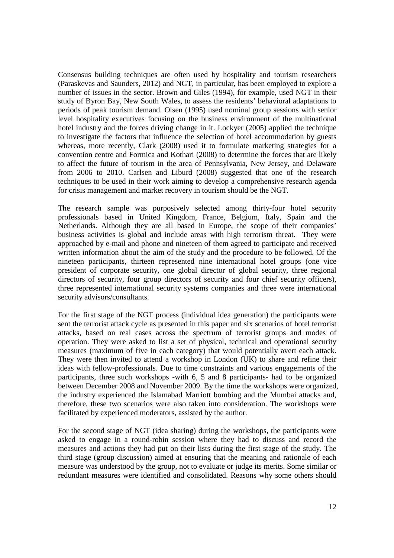Consensus building techniques are often used by hospitality and tourism researchers (Paraskevas and Saunders, 2012) and NGT, in particular, has been employed to explore a number of issues in the sector. Brown and Giles (1994), for example, used NGT in their study of Byron Bay, New South Wales, to assess the residents' behavioral adaptations to periods of peak tourism demand. Olsen (1995) used nominal group sessions with senior level hospitality executives focusing on the business environment of the multinational hotel industry and the forces driving change in it. Lockyer (2005) applied the technique to investigate the factors that influence the selection of hotel accommodation by guests whereas, more recently, Clark (2008) used it to formulate marketing strategies for a convention centre and Formica and Kothari (2008) to determine the forces that are likely to affect the future of tourism in the area of Pennsylvania, New Jersey, and Delaware from 2006 to 2010. Carlsen and Liburd (2008) suggested that one of the research techniques to be used in their work aiming to develop a comprehensive research agenda for crisis management and market recovery in tourism should be the NGT.

The research sample was purposively selected among thirty-four hotel security professionals based in United Kingdom, France, Belgium, Italy, Spain and the Netherlands. Although they are all based in Europe, the scope of their companies' business activities is global and include areas with high terrorism threat. They were approached by e-mail and phone and nineteen of them agreed to participate and received written information about the aim of the study and the procedure to be followed. Of the nineteen participants, thirteen represented nine international hotel groups (one vice president of corporate security, one global director of global security, three regional directors of security, four group directors of security and four chief security officers), three represented international security systems companies and three were international security advisors/consultants.

For the first stage of the NGT process (individual idea generation) the participants were sent the terrorist attack cycle as presented in this paper and six scenarios of hotel terrorist attacks, based on real cases across the spectrum of terrorist groups and modes of operation. They were asked to list a set of physical, technical and operational security measures (maximum of five in each category) that would potentially avert each attack. They were then invited to attend a workshop in London (UK) to share and refine their ideas with fellow-professionals. Due to time constraints and various engagements of the participants, three such workshops -with 6, 5 and 8 participants- had to be organized between December 2008 and November 2009. By the time the workshops were organized, the industry experienced the Islamabad Marriott bombing and the Mumbai attacks and, therefore, these two scenarios were also taken into consideration. The workshops were facilitated by experienced moderators, assisted by the author.

For the second stage of NGT (idea sharing) during the workshops, the participants were asked to engage in a round-robin session where they had to discuss and record the measures and actions they had put on their lists during the first stage of the study. The third stage (group discussion) aimed at ensuring that the meaning and rationale of each measure was understood by the group, not to evaluate or judge its merits. Some similar or redundant measures were identified and consolidated. Reasons why some others should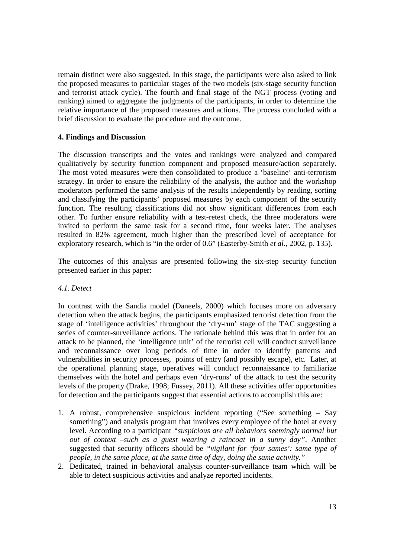remain distinct were also suggested. In this stage, the participants were also asked to link the proposed measures to particular stages of the two models (six-stage security function and terrorist attack cycle). The fourth and final stage of the NGT process (voting and ranking) aimed to aggregate the judgments of the participants, in order to determine the relative importance of the proposed measures and actions. The process concluded with a brief discussion to evaluate the procedure and the outcome.

## **4. Findings and Discussion**

The discussion transcripts and the votes and rankings were analyzed and compared qualitatively by security function component and proposed measure/action separately. The most voted measures were then consolidated to produce a 'baseline' anti-terrorism strategy. In order to ensure the reliability of the analysis, the author and the workshop moderators performed the same analysis of the results independently by reading, sorting and classifying the participants' proposed measures by each component of the security function. The resulting classifications did not show significant differences from each other. To further ensure reliability with a test-retest check, the three moderators were invited to perform the same task for a second time, four weeks later. The analyses resulted in 82% agreement, much higher than the prescribed level of acceptance for exploratory research, which is "in the order of 0.6" (Easterby-Smith *et al.*, 2002, p. 135).

The outcomes of this analysis are presented following the six-step security function presented earlier in this paper:

#### *4.1. Detect*

In contrast with the Sandia model (Daneels, 2000) which focuses more on adversary detection when the attack begins, the participants emphasized terrorist detection from the stage of 'intelligence activities' throughout the 'dry-run' stage of the TAC suggesting a series of counter-surveillance actions. The rationale behind this was that in order for an attack to be planned, the 'intelligence unit' of the terrorist cell will conduct surveillance and reconnaissance over long periods of time in order to identify patterns and vulnerabilities in security processes, points of entry (and possibly escape), etc. Later, at the operational planning stage, operatives will conduct reconnaissance to familiarize themselves with the hotel and perhaps even 'dry-runs' of the attack to test the security levels of the property (Drake, 1998; Fussey, 2011). All these activities offer opportunities for detection and the participants suggest that essential actions to accomplish this are:

- 1. A robust, comprehensive suspicious incident reporting ("See something Say something") and analysis program that involves every employee of the hotel at every level. According to a participant *"suspicious are all behaviors seemingly normal but out of context –such as a guest wearing a raincoat in a sunny day"*. Another suggested that security officers should be *"vigilant for 'four sames': same type of people, in the same place, at the same time of day, doing the same activity."*
- 2. Dedicated, trained in behavioral analysis counter-surveillance team which will be able to detect suspicious activities and analyze reported incidents.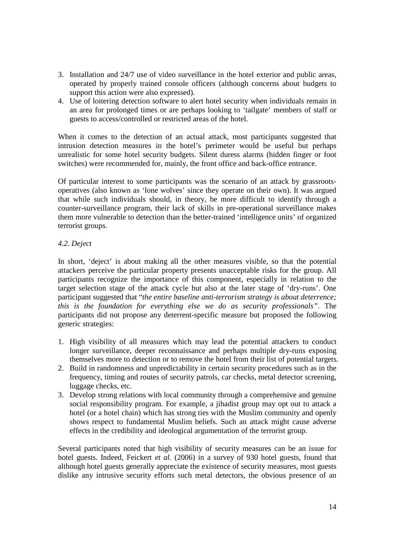- 3. Installation and 24/7 use of video surveillance in the hotel exterior and public areas, operated by properly trained console officers (although concerns about budgets to support this action were also expressed).
- 4. Use of loitering detection software to alert hotel security when individuals remain in an area for prolonged times or are perhaps looking to 'tailgate' members of staff or guests to access/controlled or restricted areas of the hotel.

When it comes to the detection of an actual attack, most participants suggested that intrusion detection measures in the hotel's perimeter would be useful but perhaps unrealistic for some hotel security budgets. Silent duress alarms (hidden finger or foot switches) were recommended for, mainly, the front office and back-office entrance.

Of particular interest to some participants was the scenario of an attack by grassrootsoperatives (also known as 'lone wolves' since they operate on their own). It was argued that while such individuals should, in theory, be more difficult to identify through a counter-surveillance program, their lack of skills in pre-operational surveillance makes them more vulnerable to detection than the better-trained 'intelligence units' of organized terrorist groups.

# *4.2. Deject*

In short, 'deject' is about making all the other measures visible, so that the potential attackers perceive the particular property presents unacceptable risks for the group. All participants recognize the importance of this component, especially in relation to the target selection stage of the attack cycle but also at the later stage of 'dry-runs'. One participant suggested that "*the entire baseline anti-terrorism strategy is about deterrence; this is the foundation for everything else we do as security professionals"*. The participants did not propose any deterrent-specific measure but proposed the following generic strategies:

- 1. High visibility of all measures which may lead the potential attackers to conduct longer surveillance, deeper reconnaissance and perhaps multiple dry-runs exposing themselves more to detection or to remove the hotel from their list of potential targets.
- 2. Build in randomness and unpredictability in certain security procedures such as in the frequency, timing and routes of security patrols, car checks, metal detector screening, luggage checks, etc.
- 3. Develop strong relations with local community through a comprehensive and genuine social responsibility program. For example, a jihadist group may opt out to attack a hotel (or a hotel chain) which has strong ties with the Muslim community and openly shows respect to fundamental Muslim beliefs. Such an attack might cause adverse effects in the credibility and ideological argumentation of the terrorist group.

Several participants noted that high visibility of security measures can be an issue for hotel guests. Indeed, Feickert *et al.* (2006) in a survey of 930 hotel guests, found that although hotel guests generally appreciate the existence of security measures, most guests dislike any intrusive security efforts such metal detectors, the obvious presence of an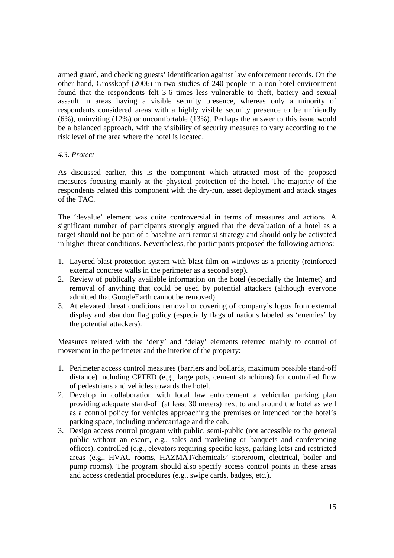armed guard, and checking guests' identification against law enforcement records. On the other hand, Grosskopf (2006) in two studies of 240 people in a non-hotel environment found that the respondents felt 3-6 times less vulnerable to theft, battery and sexual assault in areas having a visible security presence, whereas only a minority of respondents considered areas with a highly visible security presence to be unfriendly (6%), uninviting (12%) or uncomfortable (13%). Perhaps the answer to this issue would be a balanced approach, with the visibility of security measures to vary according to the risk level of the area where the hotel is located.

## *4.3. Protect*

As discussed earlier, this is the component which attracted most of the proposed measures focusing mainly at the physical protection of the hotel. The majority of the respondents related this component with the dry-run, asset deployment and attack stages of the TAC.

The 'devalue' element was quite controversial in terms of measures and actions. A significant number of participants strongly argued that the devaluation of a hotel as a target should not be part of a baseline anti-terrorist strategy and should only be activated in higher threat conditions. Nevertheless, the participants proposed the following actions:

- 1. Layered blast protection system with blast film on windows as a priority (reinforced external concrete walls in the perimeter as a second step).
- 2. Review of publically available information on the hotel (especially the Internet) and removal of anything that could be used by potential attackers (although everyone admitted that GoogleEarth cannot be removed).
- 3. At elevated threat conditions removal or covering of company's logos from external display and abandon flag policy (especially flags of nations labeled as 'enemies' by the potential attackers).

Measures related with the 'deny' and 'delay' elements referred mainly to control of movement in the perimeter and the interior of the property:

- 1. Perimeter access control measures (barriers and bollards, maximum possible stand-off distance) including CPTED (e.g., large pots, cement stanchions) for controlled flow of pedestrians and vehicles towards the hotel.
- 2. Develop in collaboration with local law enforcement a vehicular parking plan providing adequate stand-off (at least 30 meters) next to and around the hotel as well as a control policy for vehicles approaching the premises or intended for the hotel's parking space, including undercarriage and the cab.
- 3. Design access control program with public, semi-public (not accessible to the general public without an escort, e.g., sales and marketing or banquets and conferencing offices), controlled (e.g., elevators requiring specific keys, parking lots) and restricted areas (e.g., HVAC rooms, HAZMAT/chemicals' storeroom, electrical, boiler and pump rooms). The program should also specify access control points in these areas and access credential procedures (e.g., swipe cards, badges, etc.).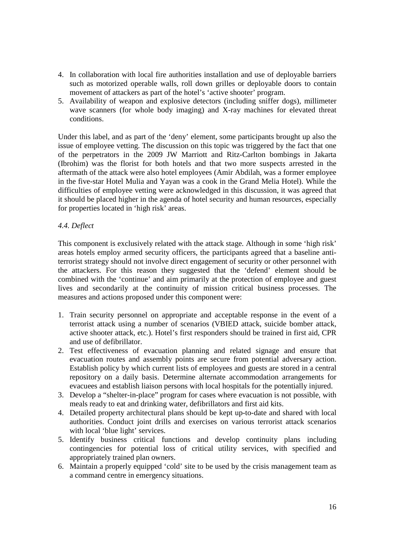- 4. In collaboration with local fire authorities installation and use of deployable barriers such as motorized operable walls, roll down grilles or deployable doors to contain movement of attackers as part of the hotel's 'active shooter' program.
- 5. Availability of weapon and explosive detectors (including sniffer dogs), millimeter wave scanners (for whole body imaging) and X-ray machines for elevated threat conditions.

Under this label, and as part of the 'deny' element, some participants brought up also the issue of employee vetting. The discussion on this topic was triggered by the fact that one of the perpetrators in the 2009 JW Marriott and Ritz-Carlton bombings in Jakarta (Ibrohim) was the florist for both hotels and that two more suspects arrested in the aftermath of the attack were also hotel employees (Amir Abdilah, was a former employee in the five-star Hotel Mulia and Yayan was a cook in the Grand Melia Hotel). While the difficulties of employee vetting were acknowledged in this discussion, it was agreed that it should be placed higher in the agenda of hotel security and human resources, especially for properties located in 'high risk' areas.

## *4.4. Deflect*

This component is exclusively related with the attack stage. Although in some 'high risk' areas hotels employ armed security officers, the participants agreed that a baseline antiterrorist strategy should not involve direct engagement of security or other personnel with the attackers. For this reason they suggested that the 'defend' element should be combined with the 'continue' and aim primarily at the protection of employee and guest lives and secondarily at the continuity of mission critical business processes. The measures and actions proposed under this component were:

- 1. Train security personnel on appropriate and acceptable response in the event of a terrorist attack using a number of scenarios (VBIED attack, suicide bomber attack, active shooter attack, etc.). Hotel's first responders should be trained in first aid, CPR and use of defibrillator.
- 2. Test effectiveness of evacuation planning and related signage and ensure that evacuation routes and assembly points are secure from potential adversary action. Establish policy by which current lists of employees and guests are stored in a central repository on a daily basis. Determine alternate accommodation arrangements for evacuees and establish liaison persons with local hospitals for the potentially injured.
- 3. Develop a "shelter-in-place" program for cases where evacuation is not possible, with meals ready to eat and drinking water, defibrillators and first aid kits.
- 4. Detailed property architectural plans should be kept up-to-date and shared with local authorities. Conduct joint drills and exercises on various terrorist attack scenarios with local 'blue light' services.
- 5. Identify business critical functions and develop continuity plans including contingencies for potential loss of critical utility services, with specified and appropriately trained plan owners.
- 6. Maintain a properly equipped 'cold' site to be used by the crisis management team as a command centre in emergency situations.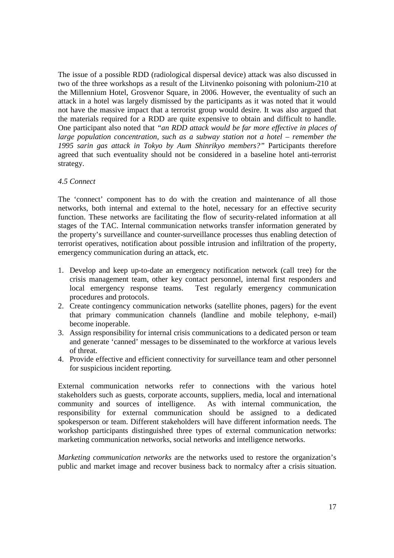The issue of a possible RDD (radiological dispersal device) attack was also discussed in two of the three workshops as a result of the Litvinenko poisoning with polonium-210 at the Millennium Hotel, Grosvenor Square, in 2006. However, the eventuality of such an attack in a hotel was largely dismissed by the participants as it was noted that it would not have the massive impact that a terrorist group would desire. It was also argued that the materials required for a RDD are quite expensive to obtain and difficult to handle. One participant also noted that *"an RDD attack would be far more effective in places of large population concentration, such as a subway station not a hotel – remember the 1995 sarin gas attack in Tokyo by Aum Shinrikyo members?"* Participants therefore agreed that such eventuality should not be considered in a baseline hotel anti-terrorist strategy.

## *4.5 Connect*

The 'connect' component has to do with the creation and maintenance of all those networks, both internal and external to the hotel, necessary for an effective security function. These networks are facilitating the flow of security-related information at all stages of the TAC. Internal communication networks transfer information generated by the property's surveillance and counter-surveillance processes thus enabling detection of terrorist operatives, notification about possible intrusion and infiltration of the property, emergency communication during an attack, etc.

- 1. Develop and keep up-to-date an emergency notification network (call tree) for the crisis management team, other key contact personnel, internal first responders and local emergency response teams. Test regularly emergency communication procedures and protocols.
- 2. Create contingency communication networks (satellite phones, pagers) for the event that primary communication channels (landline and mobile telephony, e-mail) become inoperable.
- 3. Assign responsibility for internal crisis communications to a dedicated person or team and generate 'canned' messages to be disseminated to the workforce at various levels of threat.
- 4. Provide effective and efficient connectivity for surveillance team and other personnel for suspicious incident reporting.

External communication networks refer to connections with the various hotel stakeholders such as guests, corporate accounts, suppliers, media, local and international community and sources of intelligence. As with internal communication, the responsibility for external communication should be assigned to a dedicated spokesperson or team. Different stakeholders will have different information needs. The workshop participants distinguished three types of external communication networks: marketing communication networks, social networks and intelligence networks.

*Marketing communication networks* are the networks used to restore the organization's public and market image and recover business back to normalcy after a crisis situation.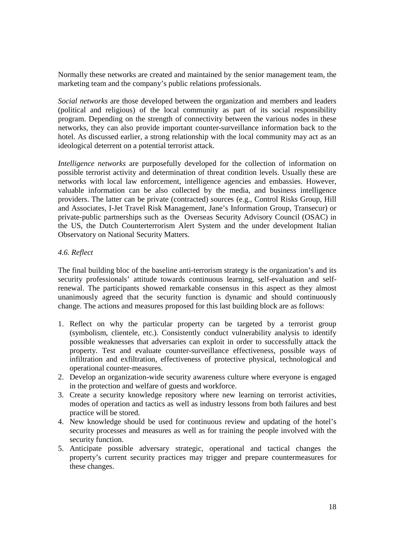Normally these networks are created and maintained by the senior management team, the marketing team and the company's public relations professionals.

*Social networks* are those developed between the organization and members and leaders (political and religious) of the local community as part of its social responsibility program. Depending on the strength of connectivity between the various nodes in these networks, they can also provide important counter-surveillance information back to the hotel. As discussed earlier, a strong relationship with the local community may act as an ideological deterrent on a potential terrorist attack.

*Intelligence networks* are purposefully developed for the collection of information on possible terrorist activity and determination of threat condition levels. Usually these are networks with local law enforcement, intelligence agencies and embassies. However, valuable information can be also collected by the media, and business intelligence providers. The latter can be private (contracted) sources (e.g., Control Risks Group, Hill and Associates, I-Jet Travel Risk Management, Jane's Information Group, Transecur) or private-public partnerships such as the Overseas Security Advisory Council (OSAC) in the US, the Dutch Counterterrorism Alert System and the under development Italian Observatory on National Security Matters.

## *4.6. Reflect*

The final building bloc of the baseline anti-terrorism strategy is the organization's and its security professionals' attitude towards continuous learning, self-evaluation and selfrenewal. The participants showed remarkable consensus in this aspect as they almost unanimously agreed that the security function is dynamic and should continuously change. The actions and measures proposed for this last building block are as follows:

- 1. Reflect on why the particular property can be targeted by a terrorist group (symbolism, clientele, etc.). Consistently conduct vulnerability analysis to identify possible weaknesses that adversaries can exploit in order to successfully attack the property. Test and evaluate counter-surveillance effectiveness, possible ways of infiltration and exfiltration, effectiveness of protective physical, technological and operational counter-measures.
- 2. Develop an organization-wide security awareness culture where everyone is engaged in the protection and welfare of guests and workforce.
- 3. Create a security knowledge repository where new learning on terrorist activities, modes of operation and tactics as well as industry lessons from both failures and best practice will be stored.
- 4. New knowledge should be used for continuous review and updating of the hotel's security processes and measures as well as for training the people involved with the security function.
- 5. Anticipate possible adversary strategic, operational and tactical changes the property's current security practices may trigger and prepare countermeasures for these changes.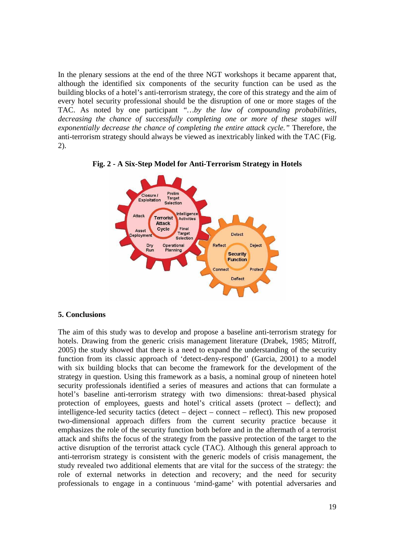In the plenary sessions at the end of the three NGT workshops it became apparent that, although the identified six components of the security function can be used as the building blocks of a hotel's anti-terrorism strategy, the core of this strategy and the aim of every hotel security professional should be the disruption of one or more stages of the TAC. As noted by one participant *"…by the law of compounding probabilities, decreasing the chance of successfully completing one or more of these stages will exponentially decrease the chance of completing the entire attack cycle."* Therefore, the anti-terrorism strategy should always be viewed as inextricably linked with the TAC (Fig. 2).



**Fig. 2 - A Six-Step Model for Anti-Terrorism Strategy in Hotels**

#### **5. Conclusions**

The aim of this study was to develop and propose a baseline anti-terrorism strategy for hotels. Drawing from the generic crisis management literature (Drabek, 1985; Mitroff, 2005) the study showed that there is a need to expand the understanding of the security function from its classic approach of 'detect-deny-respond' (Garcia, 2001) to a model with six building blocks that can become the framework for the development of the strategy in question. Using this framework as a basis, a nominal group of nineteen hotel security professionals identified a series of measures and actions that can formulate a hotel's baseline anti-terrorism strategy with two dimensions: threat-based physical protection of employees, guests and hotel's critical assets (protect – deflect); and intelligence-led security tactics (detect – deject – connect – reflect). This new proposed two-dimensional approach differs from the current security practice because it emphasizes the role of the security function both before and in the aftermath of a terrorist attack and shifts the focus of the strategy from the passive protection of the target to the active disruption of the terrorist attack cycle (TAC). Although this general approach to anti-terrorism strategy is consistent with the generic models of crisis management, the study revealed two additional elements that are vital for the success of the strategy: the role of external networks in detection and recovery; and the need for security professionals to engage in a continuous 'mind-game' with potential adversaries and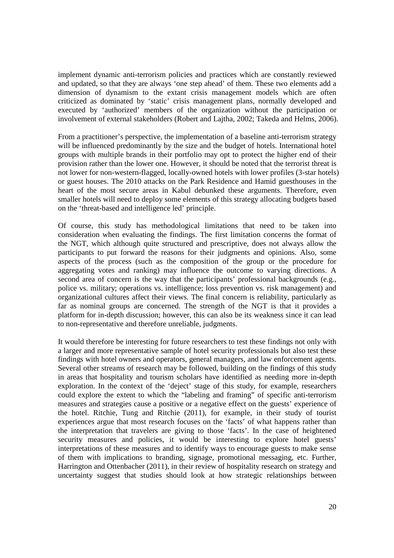implement dynamic anti-terrorism policies and practices which are constantly reviewed and updated, so that they are always 'one step ahead' of them. These two elements add a dimension of dynamism to the extant crisis management models which are often criticized as dominated by 'static' crisis management plans, normally developed and executed by 'authorized' members of the organization without the participation or involvement of external stakeholders (Robert and Lajtha, 2002; Takeda and Helms, 2006).

From a practitioner's perspective, the implementation of a baseline anti-terrorism strategy will be influenced predominantly by the size and the budget of hotels. International hotel groups with multiple brands in their portfolio may opt to protect the higher end of their provision rather than the lower one. However, it should be noted that the terrorist threat is not lower for non-western-flagged, locally-owned hotels with lower profiles (3-star hotels) or guest houses. The 2010 attacks on the Park Residence and Hamid guesthouses in the heart of the most secure areas in Kabul debunked these arguments. Therefore, even smaller hotels will need to deploy some elements of this strategy allocating budgets based on the 'threat-based and intelligence led' principle.

Of course, this study has methodological limitations that need to be taken into consideration when evaluating the findings. The first limitation concerns the format of the NGT, which although quite structured and prescriptive, does not always allow the participants to put forward the reasons for their judgments and opinions. Also, some aspects of the process (such as the composition of the group or the procedure for aggregating votes and ranking) may influence the outcome to varying directions. A second area of concern is the way that the participants' professional backgrounds (e.g., police vs. military; operations vs. intelligence; loss prevention vs. risk management) and organizational cultures affect their views. The final concern is reliability, particularly as far as nominal groups are concerned. The strength of the NGT is that it provides a platform for in-depth discussion; however, this can also be its weakness since it can lead to non-representative and therefore unreliable, judgments.

It would therefore be interesting for future researchers to test these findings not only with a larger and more representative sample of hotel security professionals but also test these findings with hotel owners and operators, general managers, and law enforcement agents. Several other streams of research may be followed, building on the findings of this study in areas that hospitality and tourism scholars have identified as needing more in-depth exploration. In the context of the 'deject' stage of this study, for example, researchers could explore the extent to which the "labeling and framing" of specific anti-terrorism measures and strategies cause a positive or a negative effect on the guests' experience of the hotel. Ritchie, Tung and Ritchie (2011), for example, in their study of tourist experiences argue that most research focuses on the 'facts' of what happens rather than the interpretation that travelers are giving to those 'facts'. In the case of heightened security measures and policies, it would be interesting to explore hotel guests' interpretations of these measures and to identify ways to encourage guests to make sense of them with implications to branding, signage, promotional messaging, etc. Further, Harrington and Ottenbacher (2011), in their review of hospitality research on strategy and uncertainty suggest that studies should look at how strategic relationships between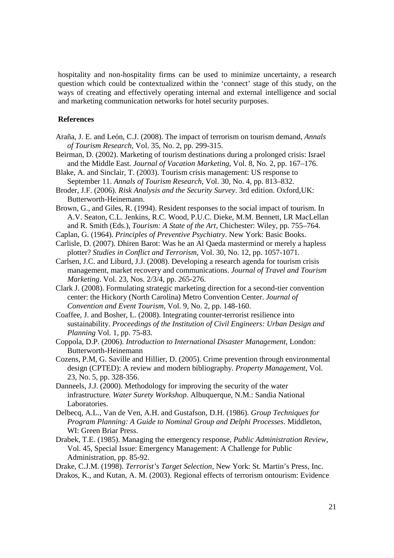hospitality and non-hospitality firms can be used to minimize uncertainty, a research question which could be contextualized within the 'connect' stage of this study, on the ways of creating and effectively operating internal and external intelligence and social and marketing communication networks for hotel security purposes.

### **References**

- Araña, J. E. and León, C.J. (2008). The impact of terrorism on tourism demand, *Annals of Tourism Research,* Vol. 35, No. 2, pp. 299-315.
- Beirman, D. (2002). Marketing of tourism destinations during a prolonged crisis: Israel and the Middle East. *Journal of Vacation Marketing*, Vol. 8, No. 2, pp. 167–176.
- Blake, A. and Sinclair, T. (2003). Tourism crisis management: US response to September 11. *Annals of Tourism Research*, Vol. 30, No. 4, pp. 813–832.
- Broder, J.F. (2006). *Risk Analysis and the Security Survey*. 3rd edition. Oxford,UK: Butterworth-Heinemann.
- Brown, G., and Giles, R. (1994). Resident responses to the social impact of tourism. In A.V. Seaton, C.L. Jenkins, R.C. Wood, P.U.C. Dieke, M.M. Bennett, LR MacLellan and R. Smith (Eds.), *Tourism: A State of the Art,* Chichester: Wiley, pp. 755–764.
- Caplan, G. (1964). *Principles of Preventive Psychiatry*. New York: Basic Books.
- Carlisle, D. (2007). Dhiren Barot: Was he an Al Qaeda mastermind or merely a hapless plotter? *Studies in Conflict and Terrorism*, Vol. 30, No. 12, pp. 1057-1071.
- Carlsen, J.C. and Liburd, J.J. (2008). Developing a research agenda for tourism crisis management, market recovery and communications. *Journal of Travel and Tourism Marketing*. Vol. 23, Nos. 2/3/4, pp. 265-276.
- Clark J. (2008). Formulating strategic marketing direction for a second-tier convention center: the Hickory (North Carolina) Metro Convention Center. *Journal of Convention and Event Tourism*, Vol. 9, No. 2, pp. 148-160.
- Coaffee, J. and Bosher, L. (2008). Integrating counter-terrorist resilience into sustainability. *Proceedings of the Institution of Civil Engineers: Urban Design and Planning* Vol. 1, pp. 75-83.
- Coppola, D.P. (2006). *Introduction to International Disaster Management,* London: Butterworth-Heinemann
- Cozens, P.M, G. Saville and Hillier, D. (2005). Crime prevention through environmental design (CPTED): A review and modern bibliography. *Property Management*, Vol. 23, No. 5, pp. 328-356.
- Danneels, J.J. (2000). Methodology for improving the security of the water infrastructure. *Water Surety Workshop*. Albuquerque, N.M.: Sandia National Laboratories.
- Delbecq, A.L., Van de Ven, A.H. and Gustafson, D.H. (1986). *Group Techniques for Program Planning: A Guide to Nominal Group and Delphi Processes*. Middleton, WI: Green Briar Press.
- Drabek, T.E. (1985). Managing the emergency response, *Public Administration Review*, Vol. 45, Special Issue: Emergency Management: A Challenge for Public Administration, pp. 85-92.

Drake, C.J.M. (1998). *Terrorist's Target Selection*, New York: St. Martin's Press, Inc. Drakos, K., and Kutan, A. M. (2003). Regional effects of terrorism ontourism: Evidence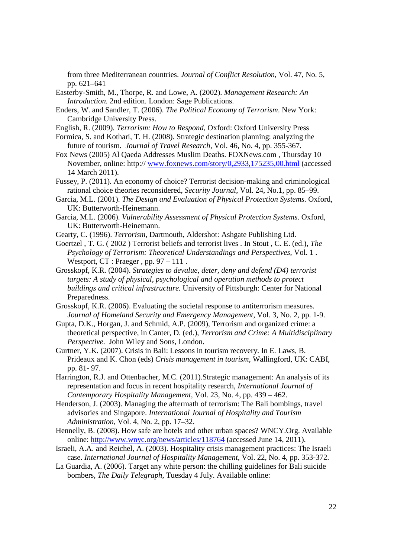from three Mediterranean countries. *Journal of Conflict Resolution*, Vol. 47, No. 5, pp. 621–641

- Easterby-Smith, M., Thorpe, R. and Lowe, A. (2002). *Management Research: An Introduction.* 2nd edition. London: Sage Publications.
- Enders, W. and Sandler, T. (2006). *The Political Economy of Terrorism*. New York: Cambridge University Press.
- English, R. (2009). *Terrorism: How to Respond*, Oxford: Oxford University Press
- Formica, S. and Kothari, T. H. (2008). Strategic destination planning: analyzing the future of tourism. *Journal of Travel Research*, Vol. 46, No. 4, pp. 355-367.
- Fox News (2005) Al Qaeda Addresses Muslim Deaths. FOXNews.com , Thursday 10 November, online: http:// www.foxnews.com/story/0,2933,175235,00.html (accessed 14 March 2011).
- Fussey, P. (2011). An economy of choice? Terrorist decision-making and criminological rational choice theories reconsidered, *Security Journal*, Vol. 24, No.1, pp. 85–99.
- Garcia, M.L. (2001). *The Design and Evaluation of Physical Protection Systems*. Oxford, UK: Butterworth-Heinemann.
- Garcia, M.L. (2006). *Vulnerability Assessment of Physical Protection Systems*. Oxford, UK: Butterworth-Heinemann.
- Gearty, C. (1996). *Terrorism*, Dartmouth, Aldershot: Ashgate Publishing Ltd.
- Goertzel , T. G. ( 2002 ) Terrorist beliefs and terrorist lives . In Stout , C. E. (ed.), *The Psychology of Terrorism: Theoretical Understandings and Perspectives*, Vol. 1 . Westport,  $CT$ : Praeger, pp.  $97 - 111$ .
- Grosskopf, K.R. (2004). *Strategies to devalue, deter, deny and defend (D4) terrorist targets: A study of physical, psychological and operation methods to protect buildings and critical infrastructure.* University of Pittsburgh: Center for National Preparedness.
- Grosskopf, K.R. (2006). Evaluating the societal response to antiterrorism measures. *Journal of Homeland Security and Emergency Management,* Vol. 3, No. 2, pp. 1-9.
- Gupta, D.K., Horgan, J. and Schmid, A.P. (2009), Terrorism and organized crime: a theoretical perspective, in Canter, D. (ed.), *Terrorism and Crime: A Multidisciplinary Perspective*. John Wiley and Sons, London.
- Gurtner, Y.K. (2007). Crisis in Bali: Lessons in tourism recovery. In E. Laws, B. Prideaux and K. Chon (eds) *Crisis management in tourism*, Wallingford, UK: CABI, pp. 81- 97.
- Harrington, R.J. and Ottenbacher, M.C. (2011).Strategic management: An analysis of its representation and focus in recent hospitality research, *International Journal of Contemporary Hospitality Management*, Vol. 23, No. 4, pp. 439 – 462.
- Henderson, J. (2003). Managing the aftermath of terrorism: The Bali bombings, travel advisories and Singapore. *International Journal of Hospitality and Tourism Administration,* Vol. 4, No. 2, pp. 17–32.
- Hennelly, B. (2008). How safe are hotels and other urban spaces? WNCY.Org. Available online: http://www.wnyc.org/news/articles/118764 (accessed June 14, 2011).
- Israeli, A.A. and Reichel, A. (2003). Hospitality crisis management practices: The Israeli case. *International Journal of Hospitality Management,* Vol. 22, No. 4, pp. 353-372.
- La Guardia, A. (2006). Target any white person: the chilling guidelines for Bali suicide bombers, *The Daily Telegraph*, Tuesday 4 July. Available online: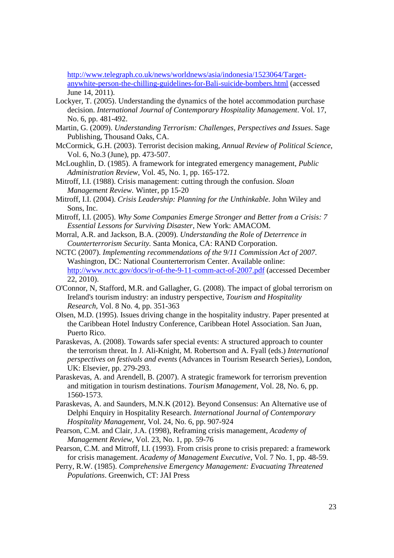http://www.telegraph.co.uk/news/worldnews/asia/indonesia/1523064/Targetanywhite-person-the-chilling-guidelines-for-Bali-suicide-bombers.html (accessed June 14, 2011).

- Lockyer, T. (2005). Understanding the dynamics of the hotel accommodation purchase decision. *International Journal of Contemporary Hospitality Management*. Vol. 17, No. 6, pp. 481-492.
- Martin, G. (2009). *Understanding Terrorism: Challenges, Perspectives and Issues*. Sage Publishing, Thousand Oaks, CA.
- McCormick, G.H. (2003). Terrorist decision making, *Annual Review of Political Science*, Vol. 6, No.3 (June), pp. 473-507.
- McLoughlin, D. (1985). A framework for integrated emergency management, *Public Administration Review,* Vol. 45, No. 1, pp. 165-172.
- Mitroff, I.I. (1988). Crisis management: cutting through the confusion. *Sloan Management Review.* Winter, pp 15-20
- Mitroff, I.I. (2004). *Crisis Leadership: Planning for the Unthinkable*. John Wiley and Sons, Inc.
- Mitroff, I.I. (2005). *Why Some Companies Emerge Stronger and Better from a Crisis: 7 Essential Lessons for Surviving Disaster*, New York: AMACOM.
- Morral, A.R. and Jackson, B.A. (2009). *Understanding the Role of Deterrence in Counterterrorism Security.* Santa Monica, CA: RAND Corporation.
- NCTC (2007). *Implementing recommendations of the 9/11 Commission Act of 2007*. Washington, DC: National Counterterrorism Center. Available online: http://www.nctc.gov/docs/ir-of-the-9-11-comm-act-of-2007.pdf (accessed December 22, 2010).
- O'Connor, N, Stafford, M.R. and Gallagher, G. (2008). The impact of global terrorism on Ireland's tourism industry: an industry perspective, *Tourism and Hospitality Research,* Vol. 8 No. 4, pp. 351-363
- Olsen, M.D. (1995). Issues driving change in the hospitality industry. Paper presented at the Caribbean Hotel Industry Conference, Caribbean Hotel Association. San Juan, Puerto Rico.
- Paraskevas, A. (2008). Towards safer special events: A structured approach to counter the terrorism threat. In J. Ali-Knight, M. Robertson and A. Fyall (eds.) *International perspectives on festivals and events* (Advances in Tourism Research Series), London, UK: Elsevier, pp. 279-293.
- Paraskevas, A. and Arendell, B. (2007). A strategic framework for terrorism prevention and mitigation in tourism destinations. *Tourism Management*, Vol. 28, No. 6, pp. 1560-1573.
- Paraskevas, A. and Saunders, M.N.K (2012). Beyond Consensus: An Alternative use of Delphi Enquiry in Hospitality Research. *International Journal of Contemporary Hospitality Management*, Vol. 24, No. 6, pp. 907-924
- Pearson, C.M. and Clair, J.A. (1998), Reframing crisis management, *Academy of Management Review*, Vol. 23, No. 1, pp. 59-76
- Pearson, C.M. and Mitroff, I.I. (1993). From crisis prone to crisis prepared: a framework for crisis management. *Academy of Management Executive*, Vol. 7 No. 1, pp. 48-59.
- Perry, R.W. (1985). *Comprehensive Emergency Management: Evacuating Threatened Populations*. Greenwich, CT: JAI Press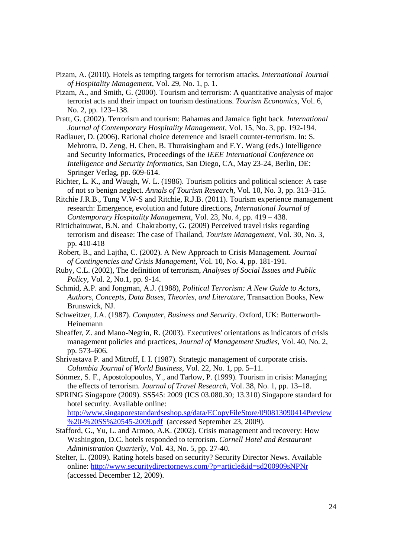- Pizam, A. (2010). Hotels as tempting targets for terrorism attacks. *International Journal of Hospitality Management*, Vol. 29, No. 1, p. 1.
- Pizam, A., and Smith, G. (2000). Tourism and terrorism: A quantitative analysis of major terrorist acts and their impact on tourism destinations. *Tourism Economics*, Vol. 6, No. 2, pp. 123–138.
- Pratt, G. (2002). Terrorism and tourism: Bahamas and Jamaica fight back. *International Journal of Contemporary Hospitality Management*, Vol. 15, No. 3, pp. 192-194.
- Radlauer, D. (2006). Rational choice deterrence and Israeli counter-terrorism. In: S. Mehrotra, D. Zeng, H. Chen, B. Thuraisingham and F.Y. Wang (eds.) Intelligence and Security Informatics, Proceedings of the *IEEE International Conference on Intelligence and Security Informatics,* San Diego, CA, May 23-24, Berlin, DE: Springer Verlag, pp. 609-614.
- Richter, L. K., and Waugh, W. L. (1986). Tourism politics and political science: A case of not so benign neglect. *Annals of Tourism Research*, Vol. 10, No. 3, pp. 313–315.
- Ritchie J.R.B., Tung V.W-S and Ritchie, R.J.B. (2011). Tourism experience management research: Emergence, evolution and future directions, *International Journal of Contemporary Hospitality Management*, Vol. 23, No. 4, pp. 419 – 438.
- Rittichainuwat, B.N. and Chakraborty, G. (2009) Perceived travel risks regarding terrorism and disease: The case of Thailand, *Tourism Management*, Vol. 30, No. 3, pp. 410-418
- Robert, B., and Lajtha, C. (2002). A New Approach to Crisis Management. *Journal of Contingencies and Crisis Management,* Vol. 10, No. 4, pp. 181-191.
- Ruby, C.L. (2002), The definition of terrorism, *Analyses of Social Issues and Public Policy*, Vol. 2, No.1, pp. 9-14.
- Schmid, A.P. and Jongman, A.J. (1988), *Political Terrorism: A New Guide to Actors, Authors, Concepts, Data Bases, Theories, and Literature*, Transaction Books, New Brunswick, NJ.
- Schweitzer, J.A. (1987). *Computer, Business and Security*. Oxford, UK: Butterworth-Heinemann
- Sheaffer, Z. and Mano-Negrin, R. (2003). Executives' orientations as indicators of crisis management policies and practices, *Journal of Management Studies*, Vol. 40, No. 2, pp. 573–606.
- Shrivastava P. and Mitroff, I. I. (1987). Strategic management of corporate crisis. *Columbia Journal of World Business*, Vol. 22, No. 1, pp. 5–11.
- Sönmez, S. F., Apostolopoulos, Y., and Tarlow, P. (1999). Tourism in crisis: Managing the effects of terrorism. *Journal of Travel Research*, Vol. 38, No. 1, pp. 13–18.
- SPRING Singapore (2009). SS545: 2009 (ICS 03.080.30; 13.310) Singapore standard for hotel security. Available online: http://www.singaporestandardseshop.sg/data/ECopyFileStore/090813090414Preview %20-%20SS%20545-2009.pdf (accessed September 23, 2009).
- Stafford, G., Yu, L. and Armoo, A.K. (2002). Crisis management and recovery: How Washington, D.C. hotels responded to terrorism. *Cornell Hotel and Restaurant Administration Quarterly*, Vol. 43, No. 5, pp. 27-40.
- Stelter, L. (2009). Rating hotels based on security? Security Director News. Available online: http://www.securitydirectornews.com/?p=article&id=sd200909sNPNr (accessed December 12, 2009).